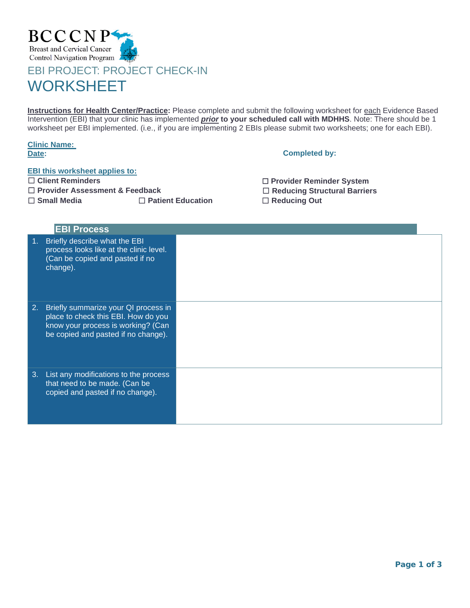

## **WORKSHEET**

**Instructions for Health Center/Practice:** Please complete and submit the following worksheet for each Evidence Based Intervention (EBI) that your clinic has implemented *prior* **to your scheduled call with MDHHS**. Note: There should be 1 worksheet per EBI implemented. (i.e., if you are implementing 2 EBIs please submit two worksheets; one for each EBI).

|       | <b>Clinic Name:</b> |
|-------|---------------------|
| Date: |                     |

## **Completed by:**

## **EBI this worksheet applies to:**

- ☐ **Client Reminders**
- ☐ **Provider Assessment & Feedback**

☐ **Small Media** ☐ **Patient Education** ☐ **Reducing Out**

| □ Provider Reminder System          |
|-------------------------------------|
| $\Box$ Reducing Structural Barriers |
| $\Box$ Reducing Out                 |

|    | <b>EBI Process</b>                                                                                                                                       |  |
|----|----------------------------------------------------------------------------------------------------------------------------------------------------------|--|
| 1. | Briefly describe what the EBI<br>process looks like at the clinic level.<br>(Can be copied and pasted if no<br>change).                                  |  |
| 2. | Briefly summarize your QI process in<br>place to check this EBI. How do you<br>know your process is working? (Can<br>be copied and pasted if no change). |  |
| 3. | List any modifications to the process<br>that need to be made. (Can be<br>copied and pasted if no change).                                               |  |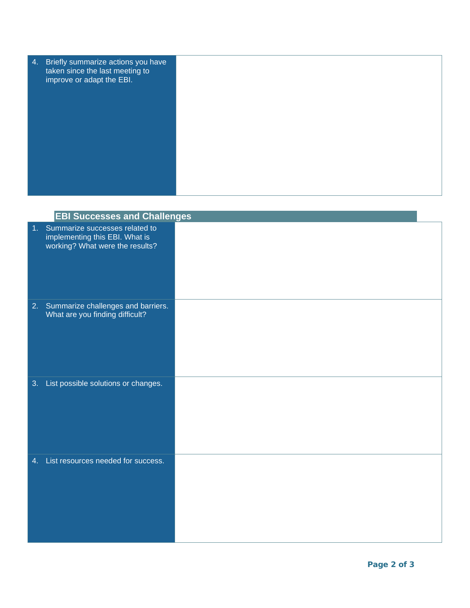| (4. | Briefly summarize actions you have<br>taken since the last meeting to<br>improve or adapt the EBI. |  |
|-----|----------------------------------------------------------------------------------------------------|--|
|     |                                                                                                    |  |
|     |                                                                                                    |  |
|     |                                                                                                    |  |

|    | <b>EBI Successes and Challenges</b>                                                                    |  |
|----|--------------------------------------------------------------------------------------------------------|--|
|    | 1. Summarize successes related to<br>implementing this EBI. What is<br>working? What were the results? |  |
|    | 2. Summarize challenges and barriers.<br>What are you finding difficult?                               |  |
| 3. | List possible solutions or changes.                                                                    |  |
|    | 4. List resources needed for success.                                                                  |  |